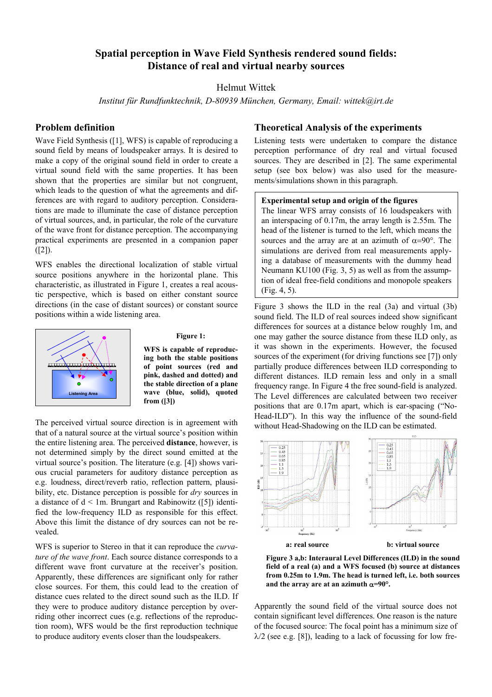# **Spatial perception in Wave Field Synthesis rendered sound fields: Distance of real and virtual nearby sources**

# Helmut Wittek

*Institut für Rundfunktechnik, D-80939 München, Germany, Email: wittek@irt.de* 

# **Problem definition**

Wave Field Synthesis ([\[1\],](#page-1-0) WFS) is capable of reproducing a sound field by means of loudspeaker arrays. It is desired to make a copy of the original sound field in order to create a virtual sound field with the same properties. It has been shown that the properties are similar but not congruent, which leads to the question of what the agreements and differences are with regard to auditory perception. Considerations are made to illuminate the case of distance perception of virtual sources, and, in particular, the role of the curvature of the wave front for distance perception. The accompanying practical experiments are presented in a companion paper  $(I2)$ ).

WFS enables the directional localization of stable virtual source positions anywhere in the horizontal plane. This characteristic, as illustrated in Figure 1, creates a real acoustic perspective, which is based on either constant source directions (in the case of distant sources) or constant source positions within a wide listening area.



#### **Figure 1:**

**WFS is capable of reproducing both the stable positions of point sources (red and pink, dashed and dotted) and the stable direction of a plane wave (blue, solid), quoted from [\(\[3\]\)](#page-1-2)** 

The perceived virtual source direction is in agreement with that of a natural source at the virtual source's position within the entire listening area. The perceived **distance**, however, is not determined simply by the direct sound emitted at the virtual source's position. The literature (e.g. [\[4\]\)](#page-1-3) shows various crucial parameters for auditory distance perception as e.g. loudness, direct/reverb ratio, reflection pattern, plausibility, etc. Distance perception is possible for *dry* sources in a distance of  $d < 1m$ . Brungart and Rabinowitz [\(\[5\]\)](#page-1-4) identified the low-frequency ILD as responsible for this effect. Above this limit the distance of dry sources can not be revealed.

WFS is superior to Stereo in that it can reproduce the *curvature of the wave front*. Each source distance corresponds to a different wave front curvature at the receiver's position. Apparently, these differences are significant only for rather close sources. For them, this could lead to the creation of distance cues related to the direct sound such as the ILD. If they were to produce auditory distance perception by overriding other incorrect cues (e.g. reflections of the reproduction room), WFS would be the first reproduction technique to produce auditory events closer than the loudspeakers.

# **Theoretical Analysis of the experiments**

Listening tests were undertaken to compare the distance perception performance of dry real and virtual focused sources. They are described in [\[2\].](#page-1-1) The same experimental setup (see box below) was also used for the measurements/simulations shown in this paragraph.

#### **Experimental setup and origin of the figures**

The linear WFS array consists of 16 loudspeakers with an interspacing of 0.17m, the array length is 2.55m. The head of the listener is turned to the left, which means the sources and the array are at an azimuth of  $\alpha = 90^\circ$ . The simulations are derived from real measurements applying a database of measurements with the dummy head Neumann KU100 (Fig. 3, 5) as well as from the assumption of ideal free-field conditions and monopole speakers (Fig. 4, 5).

Figure 3 shows the ILD in the real (3a) and virtual (3b) sound field. The ILD of real sources indeed show significant differences for sources at a distance below roughly 1m, and one may gather the source distance from these ILD only, as it was shown in the experiments. However, the focused sources of the experiment (for driving functions see [\[7\]\)](#page-1-5) only partially produce differences between ILD corresponding to different distances. ILD remain less and only in a small frequency range. In Figure 4 the free sound-field is analyzed. The Level differences are calculated between two receiver positions that are 0.17m apart, which is ear-spacing ("No-Head-ILD"). In this way the influence of the sound-field without Head-Shadowing on the ILD can be estimated.



**Figure 3 a,b: Interaural Level Differences (ILD) in the sound field of a real (a) and a WFS focused (b) source at distances from 0.25m to 1.9m. The head is turned left, i.e. both sources** and the array are at an azimuth  $\alpha = 90^\circ$ .

Apparently the sound field of the virtual source does not contain significant level differences. One reason is the nature of the focused source: The focal point has a minimum size of  $\lambda/2$  (see e.g. [\[8\]](#page-1-6)), leading to a lack of focussing for low fre